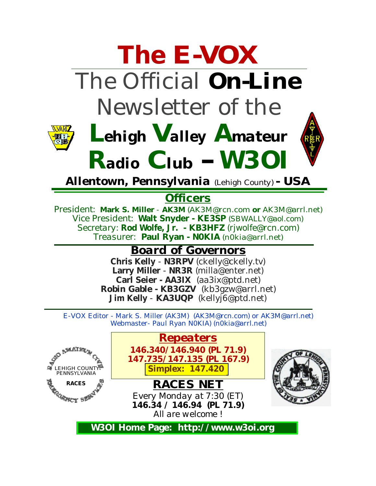

*Allentown, Pennsylvania (Lehigh County) - USA*

*<sup>R</sup>adio Club - W3OI* 

### **Officers**

*President:* **Mark S. Miller** - **AK3M** (AK3M@rcn.com **or** AK3M@arrl.net) *Vice President:* **Walt Snyder - KE3SP** [\(SBWALLY@aol.com\)](mailto:SBWALLY@aol.com) *Secretary:* **Rod Wolfe, Jr. - KB3HFZ** [\(rjwolfe@rcn.com\)](mailto:rjwolfe@rcn.com) *Treasurer:* **Paul Ryan - N0KIA** [\(n0kia@arrl.net\)](mailto:n0kia@arrl.net)

### *Board of Governors*

**Chris Kelly** - **N3RPV** [\(ckelly@ckelly.tv\)](mailto:ckelly@ckelly.tv) **Larry Miller** - **NR3R** [\(milla@enter.net\)](mailto:milla@enter.net) **Carl Seier - AA3IX** [\(aa3ix@ptd.net\)](mailto:aa3ix@ptd.net) **Robin Gable - KB3GZV** [\(kb3gzw@arrl.net\)](mailto:kb3gzw@arrl.net) **Jim Kelly** - **KA3UQP** [\(kellyj6@ptd.net\)](mailto:kellyj6@ptd.net)

E-VOX Editor - Mark S. Miller (AK3M) [\(AK3M@rcn.com\)](mailto:AK3M@rcn.com) or AK3M@arrl.net) Webmaster- Paul Ryan N0KIA) [\(n0kia@arrl.net\)](mailto:n0kia@arrl.net)

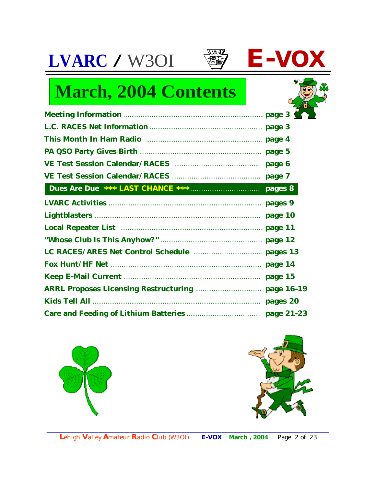



| <b>March, 2004 Contents</b>                  |  |
|----------------------------------------------|--|
|                                              |  |
|                                              |  |
|                                              |  |
|                                              |  |
|                                              |  |
|                                              |  |
|                                              |  |
|                                              |  |
|                                              |  |
| Local Repeater List manufactured and page 11 |  |
|                                              |  |
|                                              |  |
|                                              |  |
|                                              |  |
|                                              |  |
|                                              |  |
|                                              |  |



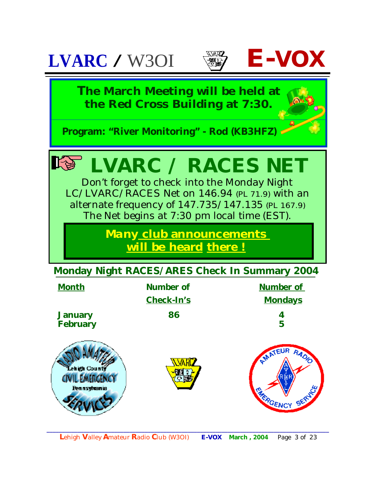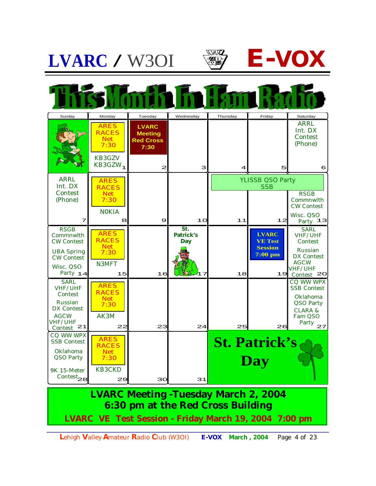



**LVARC Meeting -Tuesday March 2, 2004 6:30 pm at the Red Cross Building**

**LVARC VE Test Session - Friday March 19, 2004 7:00 pm**

*\_\_\_\_\_\_\_\_\_\_\_\_\_\_\_\_\_\_\_\_\_\_\_\_\_\_\_\_\_\_\_\_\_\_\_\_\_\_\_\_\_\_\_\_\_\_\_\_\_\_\_\_\_\_\_\_\_\_\_\_\_\_\_\_\_\_\_\_\_\_\_\_\_\_\_\_\_\_\_\_\_\_\_\_\_\_\_\_\_\_\_\_* **L**ehigh **V**alley **A**mateur **R**adio **C**lub (W3OI) **E-VOX March , 2004** Page 4 of 23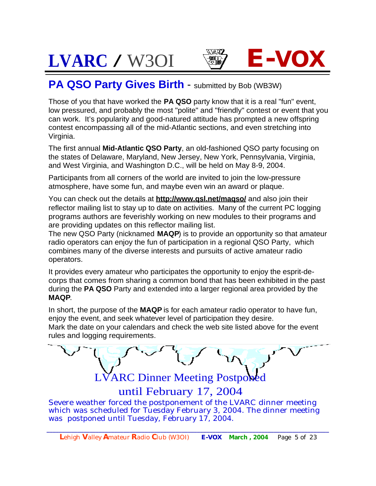



### **PA QSO Party Gives Birth - submitted by Bob (WB3W)**

Those of you that have worked the **PA QSO** party know that it is a real "fun" event, low pressured, and probably the most "polite" and "friendly" contest or event that you can work. It's popularity and good-natured attitude has prompted a new offspring contest encompassing all of the mid-Atlantic sections, and even stretching into Virginia.

The first annual **Mid-Atlantic QSO Party**, an old-fashioned QSO party focusing on the states of Delaware, Maryland, New Jersey, New York, Pennsylvania, Virginia, and West Virginia, and Washington D.C., will be held on May 8-9, 2004.

Participants from all corners of the world are invited to join the low-pressure atmosphere, have some fun, and maybe even win an award or plaque.

You can check out the details at **<http://www.qsl.net/maqso/>** and also join their reflector mailing list to stay up to date on activities. Many of the current PC logging programs authors are feverishly working on new modules to their programs and are providing updates on this reflector mailing list.

The new QSO Party (nicknamed **MAQP**) is to provide an opportunity so that amateur radio operators can enjoy the fun of participation in a regional QSO Party, which combines many of the diverse interests and pursuits of active amateur radio operators.

It provides every amateur who participates the opportunity to enjoy the esprit-decorps that comes from sharing a common bond that has been exhibited in the past during the **PA QSO** Party and extended into a larger regional area provided by the **MAQP**.

In short, the purpose of the **MAQP** is for each amateur radio operator to have fun, enjoy the event, and seek whatever level of participation they desire. Mark the date on your calendars and check the web site listed above for the event rules and logging requirements.



until February 17, 2004

Severe weather forced the postponement of the LVARC dinner meeting which was scheduled for Tuesday February 3, 2004. The dinner meeting was postponed until Tuesday, February 17, 2004.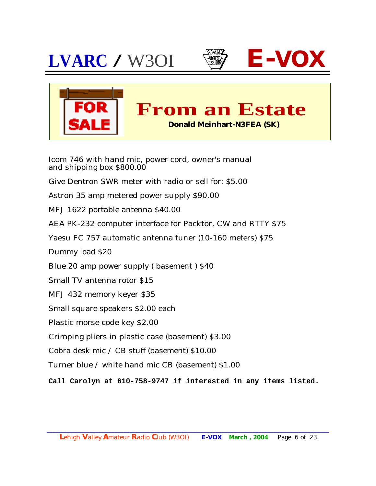







Icom 746 with hand mic, power cord, owner's manual and shipping box \$800.00

Give Dentron SWR meter with radio or sell for: \$5.00

Astron 35 amp metered power supply \$90.00

MFJ 1622 portable antenna \$40.00

AEA PK-232 computer interface for Packtor, CW and RTTY \$75

Yaesu FC 757 automatic antenna tuner (10-160 meters) \$75

Dummy load \$20

Blue 20 amp power supply ( basement ) \$40

Small TV antenna rotor \$15

MFJ 432 memory keyer \$35

Small square speakers \$2.00 each

Plastic morse code key \$2.00

Crimping pliers in plastic case (basement) \$3.00

Cobra desk mic / CB stuff (basement) \$10.00

Turner blue / white hand mic CB (basement) \$1.00

**Call Carolyn at 610-758-9747 if interested in any items listed.**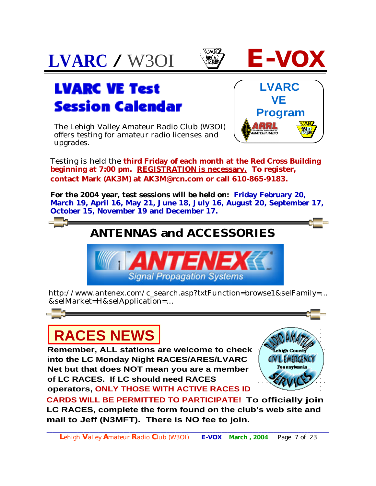



The Lehigh Valley Amateur Radio Club (W3OI) offers testing for amateur radio licenses and upgrades.



Testing is held the **third Friday of each month at the Red Cross Building beginning at 7:00 pm. REGISTRATION is necessary. To register, contact Mark (AK3M) at [AK3M@rcn.com](mailto:AK3M@rcn.com) or call 610-865-9183.**

**For the 2004 year, test sessions will be held on: Friday February 20, March 19, April 16, May 21, June 18, July 16, August 20, September 17, October 15, November 19 and December 17.**

## **ANTENNAS and ACCESSORIES**



[http://www.antenex.com/c\\_search.asp?txtFunction=browse1&selFamily=...](http://www.antenex.com/c_search.asp?txtFunction=browse1&selFamily=..) &selMarket=H&selApplication=...

# **RACES NEWS**

**Remember, ALL stations are welcome to check into the LC Monday Night RACES/ARES/LVARC Net but that does NOT mean you are a member of LC RACES. If LC should need RACES operators, ONLY THOSE WITH ACTIVE RACES ID** 



**CARDS WILL BE PERMITTED TO PARTICIPATE! To officially join LC RACES, complete the form found on the club's web site and mail to Jeff (N3MFT). There is NO fee to join.**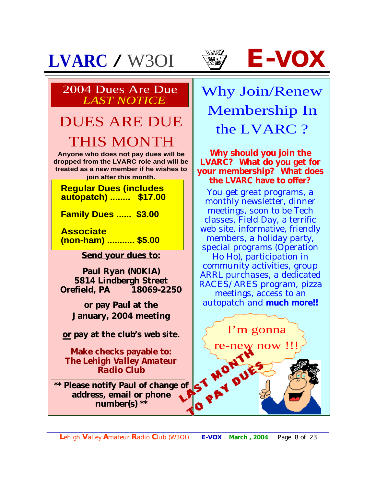





### 2004 Dues Are Due *LAST NOTICE*

# DUES ARE DUE THIS MONTH

**Anyone who does not pay dues will be dropped from the LVARC role and will be treated as a new member if he wishes to join after this month.**

 **Regular Dues (includes autopatch) ........ \$17.00**

 **Family Dues ...... \$3.00**

 **Associate (non-ham) ........... \$5.00**

**Send your dues to:**

**Paul Ryan (N0KIA) 5814 Lindbergh Street Orefield, PA 18069-2250**

**or pay Paul at the January, 2004 meeting**

**or pay at the club's web site.**

**Make checks payable to:**  *The Lehigh Valley Amateur Radio Club*

**\*\* Please notify Paul of change of address, email or phone number(s) \*\***

Why Join/Renew Membership In the LVARC ?

**Why should you join the LVARC? What do you get for your membership? What does the LVARC have to offer?**

You get great programs, a monthly newsletter, dinner meetings, soon to be Tech classes, Field Day, a terrific web site, informative, friendly members, a holiday party, special programs (Operation Ho Ho), participation in community activities, group ARRL purchases, a dedicated RACES/ARES program, pizza meetings, access to an autopatch and **much more!!**

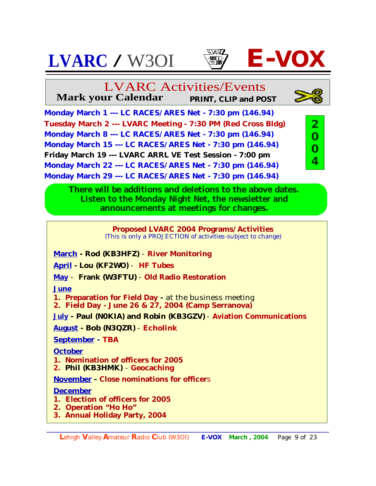



**Mark your Calendar PRINT, CLIP and POST**

**Monday March 1 --- LC RACES/ARES Net - 7:30 pm (146.94) Tuesday March 2 --- LVARC Meeting - 7:30 PM (Red Cross Bldg) Monday March 8 --- LC RACES/ARES Net - 7:30 pm (146.94) Monday March 15 --- LC RACES/ARES Net - 7:30 pm (146.94) Friday March 19 --- LVARC ARRL VE Test Session - 7:00 pm Monday March 22 --- LC RACES/ARES Net - 7:30 pm (146.94) Monday March 29 --- LC RACES/ARES Net - 7:30 pm (146.94)**



**There will be additions and deletions to the above dates. Listen to the Monday Night Net, the newsletter and announcements at meetings for changes.**

### **Proposed LVARC 2004 Programs/Activities**

(This is only a PROJECTION of activities-subject to change)

**March - Rod (KB3HFZ)** - **River Monitoring**

**April - Lou (KF2WO)** - **HF Tubes**

**May** - **Frank (W3FTU)** - **Old Radio Restoration**

**June**

**1. Preparation for Field Day -** at the business meeting

**2. Field Day - June 26 & 27, 2004 (Camp Serranova)**

**July - Paul (N0KIA) and Robin (KB3GZV)** - **Aviation Communications**

**August - Bob (N3QZR)** - **Echolink**

**September - TBA**

**October**

**1. Nomination of officers for 2005**

**2. Phil (KB3HMK)** - **Geocaching**

**November - Close nominations for officer**s

### **December**

- **1. Election of officers for 2005**
- **2. Operation "Ho Ho"**
- **3. Annual Holiday Party, 2004**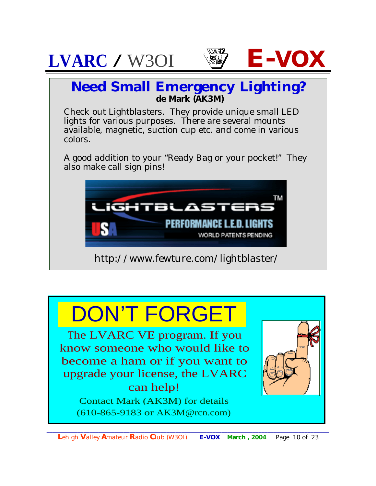





### **Need Small Emergency Lighting? de Mark (AK3M)**

Check out *Lightblasters.* They provide unique small LED lights for various purposes. There are several mounts available, magnetic, suction cup etc. and come in various colors.

A good addition to your "Ready Bag or your pocket!" They also make call sign pins!



<http://www.fewture.com/lightblaster/>

# DON'T FORGET

The LVARC VE program. If you know someone who would like to become a ham or if you want to upgrade your license, the LVARC can help! Contact Mark (AK3M) for details

(610-865-9183 or AK3M@rcn.com)

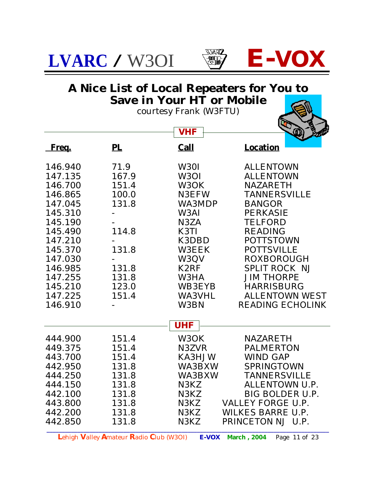



### **A Nice List of Local Repeaters for You to Save in Your HT or Mobile**

courtesy Frank (W3FTU)

|         |                                         | <b>VHF</b>    | BARD                                 |
|---------|-----------------------------------------|---------------|--------------------------------------|
| Freq.   | PL                                      | <b>Call</b>   | <b>Location</b>                      |
| 146.940 | 71.9                                    | W30I          | <b>ALLENTOWN</b>                     |
| 147.135 | 167.9                                   | W3OI          | <b>ALLENTOWN</b>                     |
| 146.700 | 151.4                                   | W3OK          | <b>NAZARETH</b>                      |
| 146.865 | 100.0                                   | <b>N3EFW</b>  | <b>TANNERSVILLE</b>                  |
| 147.045 | 131.8                                   | <b>WA3MDP</b> | <b>BANGOR</b>                        |
| 145.310 |                                         | W3AI          | <b>PERKASIE</b>                      |
| 145.190 |                                         | N3ZA          | <b>TELFORD</b>                       |
| 145.490 | 114.8                                   | K3TI          | <b>READING</b>                       |
| 147.210 |                                         | K3DBD         | <b>POTTSTOWN</b>                     |
| 145.370 | 131.8                                   | <b>W3EEK</b>  | <b>POTTSVILLE</b>                    |
| 147.030 |                                         | W3QV          | <b>ROXBOROUGH</b>                    |
| 146.985 | 131.8                                   | K2RF          | <b>SPLIT ROCK NJ</b>                 |
| 147.255 | 131.8                                   | <b>W3HA</b>   | <b>JIM THORPE</b>                    |
| 145.210 | 123.0                                   | <b>WB3EYB</b> | <b>HARRISBURG</b>                    |
| 147.225 | 151.4                                   | <b>WA3VHL</b> | <b>ALLENTOWN WEST</b>                |
| 146.910 |                                         | W3BN          | <b>READING ECHOLINK</b>              |
|         |                                         | <b>UHF</b>    |                                      |
| 444.900 | 151.4                                   | W3OK          | <b>NAZARETH</b>                      |
| 449.375 | 151.4                                   | N3ZVR         | <b>PALMERTON</b>                     |
| 443.700 | 151.4                                   | <b>KA3HJW</b> | <b>WIND GAP</b>                      |
| 442.950 | 131.8                                   | <b>WA3BXW</b> | <b>SPRINGTOWN</b>                    |
| 444.250 | 131.8                                   | <b>WA3BXW</b> | <b>TANNERSVILLE</b>                  |
| 444.150 | 131.8                                   | N3KZ          | ALLENTOWN U.P.                       |
| 442.100 | 131.8                                   | N3KZ          | BIG BOLDER U.P.                      |
| 443.800 | 131.8                                   | N3KZ          | <b>VALLEY FORGE U.P.</b>             |
| 442.200 | 131.8                                   | N3KZ          | <b>WILKES BARRE U.P.</b>             |
| 442.850 | 131.8                                   | N3KZ          | PRINCETON NJ U.P.                    |
|         | Lehigh Valley Amateur Radio Club (W3OI) | <b>E-VOX</b>  | <b>March</b> , 2004<br>Page 11 of 23 |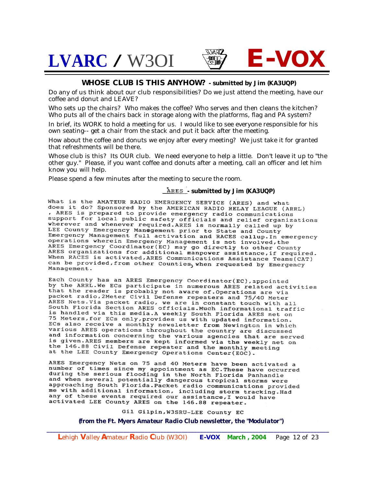



Do any of us think about our club responsibilities? Do we just attend the meeting, have our coffee and donut and LEAVE?

Who sets up the chairs? Who makes the coffee? Who serves and then cleans the kitchen? Who puts all of the chairs back in storage along with the platforms, flag and PA system?

In brief, its WORK to hold a meeting for us. I would like to see everyone responsible for his own seating-- get a chair from the stack and put it back after the meeting.

How about the coffee and donuts we enjoy after every meeting? We just take it for granted that refreshments will be there.

Whose club is this? Its OUR club. We need everyone to help a little. Don't leave it up to "the other guy." Please, if you want coffee and donuts after a meeting, call an officer and let him know you will help.

Please spend a few minutes after the meeting to secure the room.

#### **ARES** - submitted by Jim (KA3UQP)

What is the AMATEUR RADIO EMERGENCY SERVICE (ARES) and what<br>does it do? Sponsored by the AMERICAN RADIO RELAY LEAGUE (ARRL) , ARES is prepared to provide emergency radio communications support for local public safety officials and relief organizations wherever and whenever required. ARES is normally called up by LEE County Emergency Management prior to State and County<br>Emergency Management prior to State and County<br>Emergency Management full activation and RACES callup. In emergency operations wherein Emergency Management is not involved, the ARES Emergency Coordinator(EC) may go directly to other County ARES Emergency Coordinator(EC) may go directly to other County<br>ARES organizations for additional manpower assistance, if required.<br>When RACES is activated, ARES Communications Assistance Teams(CAT) can be provided, from other Counties, when requested by Emergency Management.

Each County has an ARES Emergency Coordinator(EC), appointed by the ARRL. We ECs participate in numerous ARES related activities that the reader is probably not aware of Operations are via packet radio, 2Meter Civil Defense repeaters and 75/40 Meter ARES Nets. Via packet radio, we are in constant touch with all<br>South Florida Section ARES officials. Much informational traffic<br>is bandled wished with all is handled via this media.A weekly South Florida ARES net on 75 Meters, for ECs only, provides us with updated information. ECs also receive a monthly newsletter from Newington in which various ARES operations throughout the country are discussed and information concerning the various agencies that are served is given. ARES members are kept informed via the weekly net on the 146.88 Civil Defense repeater and the monthly meeting at the LEE County Emergency Operations Center(EOC).

ARES Emergency Nets on 75 and 40 Meters have been activated a number of times since my appointment as EC. These have occurred during the serious flooding in the North Florida Panhandle and when several potentially dangerous tropical storms were approaching South Florida. Packet radio communications provided<br>me with additional information, including storm tracking. Had any of these events required our assistance, I would have activated LEE County ARES on the 146.88 repeater.

#### Gil Gilpin, W3SRU-LEE County EC

#### *(from the Ft. Myers Amateur Radio Club newsletter, the "Modulator")*

*\_\_\_\_\_\_\_\_\_\_\_\_\_\_\_\_\_\_\_\_\_\_\_\_\_\_\_\_\_\_\_\_\_\_\_\_\_\_\_\_\_\_\_\_\_\_\_\_\_\_\_\_\_\_\_\_\_\_\_\_\_\_\_\_\_\_\_\_\_\_\_\_\_\_\_\_\_\_\_\_\_\_\_\_\_\_\_\_\_\_\_\_* **L**ehigh **V**alley **A**mateur **R**adio **C**lub (W3OI) **E-VOX March , 2004** Page 12 of 23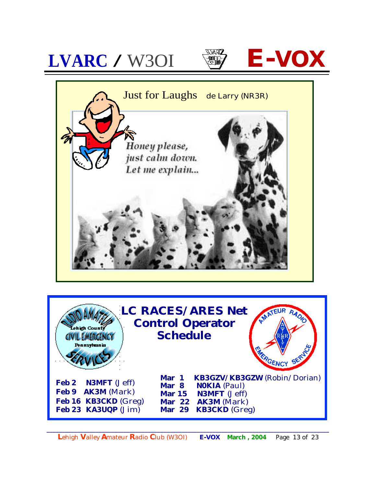

**L**ehigh **V**alley **A**mateur **R**adio **C**lub (W3OI) **E-VOX March , 2004** Page 13 of 23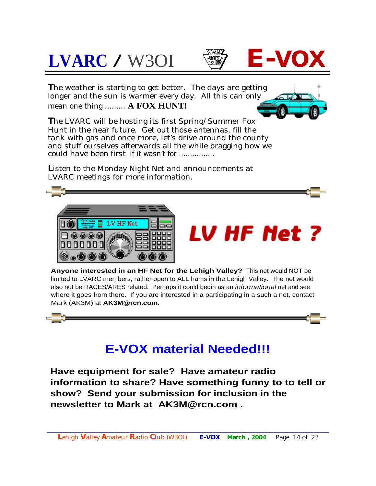# **LVARC** / W3OI  $\qquad \qquad \bullet \qquad$ **E-VO**





**T**he weather is starting to get better. The days are getting longer and the sun is warmer every day. All this can only mean one thing ......... **A FOX HUNT!**



**T**he LVARC will be hosting its first Spring/Summer Fox Hunt in the near future. Get out those antennas, fill the tank with gas and once more, let's drive around the county and stuff ourselves afterwards all the while bragging how we *could have been first* if it wasn't for ................

Listen to the Monday Night Net and announcements at LVARC meetings for more information.



# LV HF Met ?

**Anyone interested in an HF Net for the Lehigh Valley?** This net would NOT be limited to LVARC members, rather open to ALL hams in the Lehigh Valley. The net would also not be RACES/ARES related. Perhaps it could begin as an *informational* net and see where it goes from there. If you are interested in a participating in a such a net, contact Mark (AK3M) at **[AK3M@rcn.com](mailto:AK3M@rcn.com)**.



## **E-VOX material Needed!!!**

**Have equipment for sale? Have amateur radio information to share? Have something funny to to tell or show? Send your submission for inclusion in the newsletter to Mark at [AK3M@rcn.com](mailto:AK3M@rcn.com) .**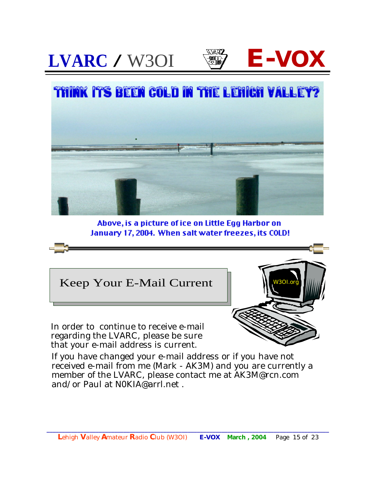





Above, is a picture of ice on Little Egg Harbor on January 17, 2004. When salt water freezes, its COLD!



If you have changed your e-mail address or if you have not received e-mail from me (Mark - AK3M) and you are currently a member of the LVARC, please contact me at [AK3M@rcn.com](mailto:AK3M@rcn.com)  and/or Paul at  $NOKIA@arrl$  net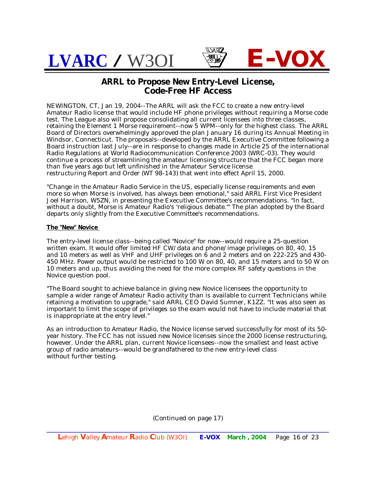

#### **ARRL to Propose New Entry-Level License, Code-Free HF Access**

NEWINGTON, CT, Jan 19, 2004--The ARRL will ask the FCC to create a new entry-level Amateur Radio license that would include HF phone privileges without requiring a Morse code test. The League also will propose consolidating all current licensees into three classes, retaining the Element 1 Morse requirement--now 5 WPM--only for the highest class. The ARRL Board of Directors overwhelmingly approved the plan January 16 during its Annual Meeting in Windsor, Connecticut. The proposals--developed by the ARRL Executive Committee following a Board instruction last July--are in response to changes made in Article 25 of the international Radio Regulations at World Radiocommunication Conference 2003 (WRC-03). They would continue a process of streamlining the amateur licensing structure that the FCC began more than five years ago but left unfinished in the Amateur Service license restructuring Report and Order (WT 98-143) that went into effect April 15, 2000.

"Change in the Amateur Radio Service in the US, especially license requirements and even more so when Morse is involved, has always been emotional," said ARRL First Vice President Joel Harrison, W5ZN, in presenting the Executive Committee's recommendations. "In fact, without a doubt, Morse is Amateur Radio's 'religious debate.'" The plan adopted by the Board departs only slightly from the Executive Committee's recommendations.

#### **The "New" Novice**

The entry-level license class--being called "Novice" for now--would require a 25-question written exam. It would offer limited HF CW/data and phone/image privileges on 80, 40, 15 and 10 meters as well as VHF and UHF privileges on 6 and 2 meters and on 222-225 and 430- 450 MHz. Power output would be restricted to 100 W on 80, 40, and 15 meters and to 50 W on 10 meters and up, thus avoiding the need for the more complex RF safety questions in the Novice question pool.

"The Board sought to achieve balance in giving new Novice licensees the opportunity to sample a wider range of Amateur Radio activity than is available to current Technicians while retaining a motivation to upgrade," said ARRL CEO David Sumner, K1ZZ. "It was also seen as important to limit the scope of privileges so the exam would not have to include material that is inappropriate at the entry level."

As an introduction to Amateur Radio, the Novice license served successfully for most of its 50 year history. The FCC has not issued new Novice licenses since the 2000 license restructuring, however. Under the ARRL plan, current Novice licensees--now the smallest and least active group of radio amateurs--would be grandfathered to the new entry-level class without further testing.

(Continued on page 17)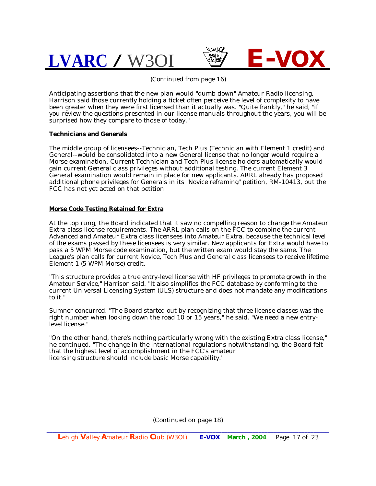



(Continued from page 16)

Anticipating assertions that the new plan would "dumb down" Amateur Radio licensing, Harrison said those currently holding a ticket often perceive the level of complexity to have been greater when they were first licensed than it actually was. "Quite frankly," he said, "if you review the questions presented in our license manuals throughout the years, you will be surprised how they compare to those of today."

#### **Technicians and Generals**

The middle group of licensees--Technician, Tech Plus (Technician with Element 1 credit) and General--would be consolidated into a new General license that no longer would require a Morse examination. Current Technician and Tech Plus license holders automatically would gain current General class privileges without additional testing. The current Element 3 General examination would remain in place for new applicants. ARRL already has proposed additional phone privileges for Generals in its "Novice reframing" petition, RM-10413, but the FCC has not yet acted on that petition.

#### **Morse Code Testing Retained for Extra**

At the top rung, the Board indicated that it saw no compelling reason to change the Amateur Extra class license requirements. The ARRL plan calls on the FCC to combine the current Advanced and Amateur Extra class licensees into Amateur Extra, because the technical level of the exams passed by these licensees is very similar. New applicants for Extra would have to pass a 5 WPM Morse code examination, but the written exam would stay the same. The League's plan calls for current Novice, Tech Plus and General class licensees to receive lifetime Element 1 (5 WPM Morse) credit.

"This structure provides a true entry-level license with HF privileges to promote growth in the Amateur Service," Harrison said. "It also simplifies the FCC database by conforming to the current Universal Licensing System (ULS) structure and does not mandate any modifications to it."

Sumner concurred. "The Board started out by recognizing that three license classes was the right number when looking down the road  $10$  or  $15$  years," he said. "We need a new entrylevel license."

"On the other hand, there's nothing particularly wrong with the existing Extra class license," he continued. "The change in the international regulations notwithstanding, the Board felt that the highest level of accomplishment in the FCC's amateur licensing structure should include basic Morse capability."

(Continued on page 18)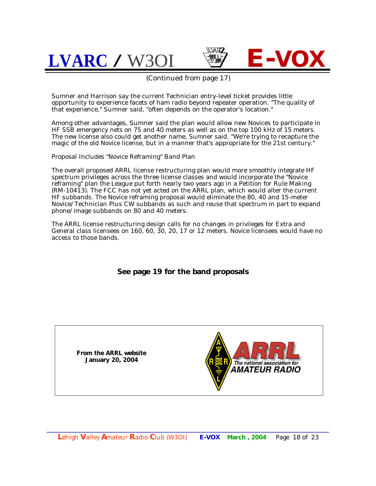$LVARC / W30I$ 





(Continued from page 17)

Sumner and Harrison say the current Technician entry-level ticket provides little opportunity to experience facets of ham radio beyond repeater operation. "The quality of that experience," Sumner said, "often depends on the operator's location."

Among other advantages, Sumner said the plan would allow new Novices to participate in HF SSB emergency nets on 75 and 40 meters as well as on the top 100 kHz of 15 meters. The new license also could get another name, Sumner said. "We're trying to recapture the magic of the old Novice license, but in a manner that's appropriate for the 21st century."

Proposal Includes "Novice Reframing" Band Plan

The overall proposed ARRL license restructuring plan would more smoothly integrate HF spectrum privileges across the three license classes and would incorporate the "Novice reframing" plan the League put forth nearly two years ago in a Petition for Rule Making (RM-10413). The FCC has not yet acted on the ARRL plan, which would alter the current HF subbands. The Novice reframing proposal would eliminate the 80, 40 and 15-meter Novice/Technician Plus CW subbands as such and reuse that spectrum in part to expand phone/image subbands on 80 and 40 meters.

The ARRL license restructuring design calls for no changes in privileges for Extra and General class licensees on 160, 60, 30, 20, 17 or 12 meters. Novice licensees would have no access to those bands.

**See page 19 for the band proposals**

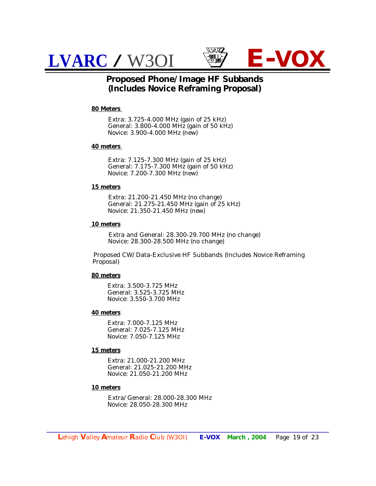



#### **Proposed Phone/Image HF Subbands (Includes Novice Reframing Proposal)**

#### **80 Meters**

 Extra: 3.725-4.000 MHz (gain of 25 kHz) General: 3.800-4.000 MHz (gain of 50 kHz) Novice: 3.900-4.000 MHz (new)

#### **40 meters**

 Extra: 7.125-7.300 MHz (gain of 25 kHz) General: 7.175-7.300 MHz (gain of 50 kHz) Novice: 7.200-7.300 MHz (new)

#### **15 meters**

 Extra: 21.200-21.450 MHz (no change) General: 21.275-21.450 MHz (gain of 25 kHz) Novice: 21.350-21.450 MHz (new)

#### **10 meters**

 Extra and General: 28.300-29.700 MHz (no change) Novice: 28.300-28.500 MHz (no change)

 Proposed CW/Data-Exclusive HF Subbands (Includes Novice Reframing Proposal)

#### **80 meters**

 Extra: 3.500-3.725 MHz General: 3.525-3.725 MHz Novice: 3.550-3.700 MHz

#### **40 meters**

 Extra: 7.000-7.125 MHz General: 7.025-7.125 MHz Novice: 7.050-7.125 MHz

#### **15 meters**

 Extra: 21.000-21.200 MHz General: 21.025-21.200 MHz Novice: 21.050-21.200 MHz

#### **10 meters**

 Extra/General: 28.000-28.300 MHz Novice: 28.050-28.300 MHz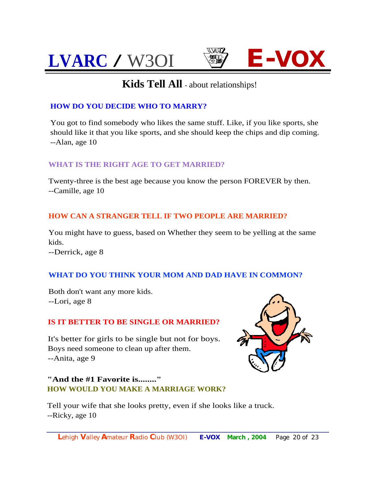

### **Kids Tell All** - about relationships!

#### **HOW DO YOU DECIDE WHO TO MARRY?**

You got to find somebody who likes the same stuff. Like, if you like sports, she should like it that you like sports, and she should keep the chips and dip coming. --Alan, age 10

#### **WHAT IS THE RIGHT AGE TO GET MARRIED?**

Twenty-three is the best age because you know the person FOREVER by then. --Camille, age 10

#### **HOW CAN A STRANGER TELL IF TWO PEOPLE ARE MARRIED?**

You might have to guess, based on Whether they seem to be yelling at the same kids.

--Derrick, age 8

#### **WHAT DO YOU THINK YOUR MOM AND DAD HAVE IN COMMON?**

Both don't want any more kids. --Lori, age 8

#### **IS IT BETTER TO BE SINGLE OR MARRIED?**

It's better for girls to be single but not for boys. Boys need someone to clean up after them. --Anita, age 9

**"And the #1 Favorite is........" HOW WOULD YOU MAKE A MARRIAGE WORK?**

Tell your wife that she looks pretty, even if she looks like a truck. --Ricky, age 10

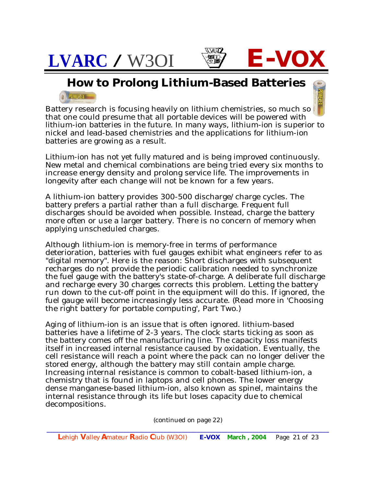

**How to Prolong Lithium-Based Batteries**  $a$   $100000$ 

Battery research is focusing heavily on lithium chemistries, so much so that one could presume that all portable devices will be powered with lithium-ion batteries in the future. In many ways, lithium-ion is superior to nickel and lead-based chemistries and the applications for lithium-ion batteries are growing as a result.

Lithium-ion has not yet fully matured and is being improved continuously. New metal and chemical combinations are being tried every six months to increase energy density and prolong service life. The improvements in longevity after each change will not be known for a few years.

A lithium-ion battery provides 300-500 discharge/charge cycles. The battery prefers a partial rather than a full discharge. Frequent full discharges should be avoided when possible. Instead, charge the battery more often or use a larger battery. There is no concern of memory when applying unscheduled charges.

Although lithium-ion is memory-free in terms of performance deterioration, batteries with fuel gauges exhibit what engineers refer to as "digital memory". Here is the reason: Short discharges with subsequent recharges do not provide the periodic calibration needed to synchronize the fuel gauge with the battery's state-of-charge. A deliberate full discharge and recharge every 30 charges corrects this problem. Letting the battery run down to the cut-off point in the equipment will do this. If ignored, the fuel gauge will become increasingly less accurate. (Read more in 'Choosing the right battery for portable computing', Part Two.)

Aging of lithium-ion is an issue that is often ignored. lithium-based batteries have a lifetime of 2-3 years. The clock starts ticking as soon as the battery comes off the manufacturing line. The capacity loss manifests itself in increased internal resistance caused by oxidation. Eventually, the cell resistance will reach a point where the pack can no longer deliver the stored energy, although the battery may still contain ample charge. Increasing internal resistance is common to cobalt-based lithium-ion, a chemistry that is found in laptops and cell phones. The lower energy dense manganese-based lithium-ion, also known as spinel, maintains the internal resistance through its life but loses capacity due to chemical decompositions.

(continued on page 22)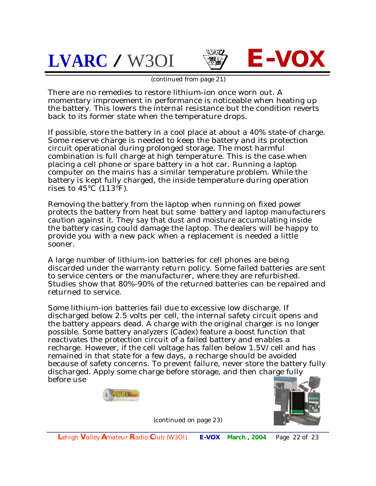



(continued from page 21)

There are no remedies to restore lithium-ion once worn out. A momentary improvement in performance is noticeable when heating up the battery. This lowers the internal resistance but the condition reverts back to its former state when the temperature drops.

If possible, store the battery in a cool place at about a 40% state-of charge. Some reserve charge is needed to keep the battery and its protection circuit operational during prolonged storage. The most harmful combination is full charge at high temperature. This is the case when placing a cell phone or spare battery in a hot car. Running a laptop computer on the mains has a similar temperature problem. While the battery is kept fully charged, the inside temperature during operation rises to  $45^{\circ}$ C (113 $^{\circ}$ F).

Removing the battery from the laptop when running on fixed power protects the battery from heat but some battery and laptop manufacturers caution against it. They say that dust and moisture accumulating inside the battery casing could damage the laptop. The dealers will be happy to provide you with a new pack when a replacement is needed a little sooner.

A large number of lithium-ion batteries for cell phones are being discarded under the warranty return policy. Some failed batteries are sent to service centers or the manufacturer, where they are refurbished. Studies show that 80%-90% of the returned batteries can be repaired and returned to service.

Some lithium-ion batteries fail due to excessive low discharge. If discharged below 2.5 volts per cell, the internal safety circuit opens and the battery appears dead. A charge with the original charger is no longer possible. Some battery analyzers (Cadex) feature a boost function that reactivates the protection circuit of a failed battery and enables a recharge. However, if the cell voltage has fallen below 1.5V/cell and has remained in that state for a few days, a recharge should be avoided because of safety concerns. To prevent failure, never store the battery fully discharged. Apply some charge before storage, and then charge fully before use





(continued on page 23)